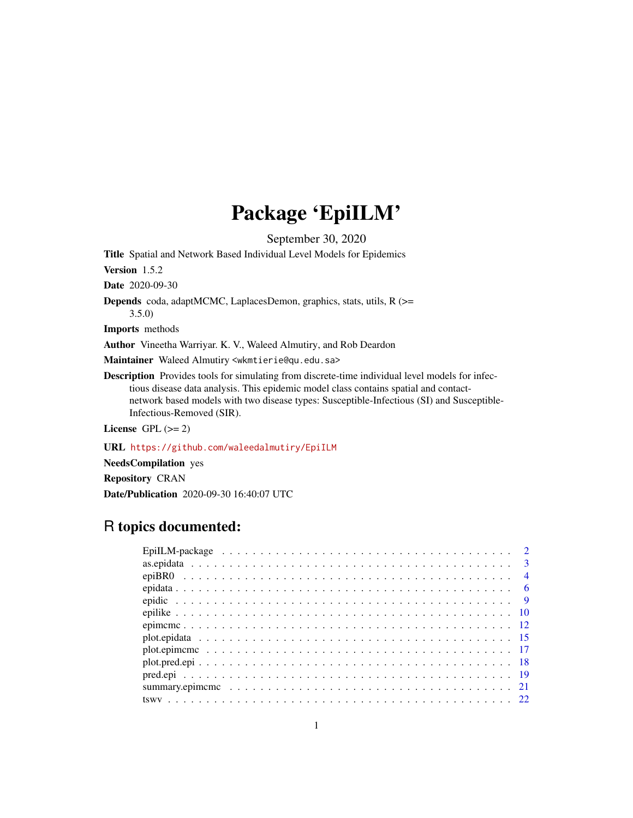# Package 'EpiILM'

September 30, 2020

<span id="page-0-0"></span>Title Spatial and Network Based Individual Level Models for Epidemics

Version 1.5.2

Date 2020-09-30

Depends coda, adaptMCMC, LaplacesDemon, graphics, stats, utils, R (>= 3.5.0)

Imports methods

Author Vineetha Warriyar. K. V., Waleed Almutiry, and Rob Deardon

Maintainer Waleed Almutiry <wkmtierie@qu.edu.sa>

Description Provides tools for simulating from discrete-time individual level models for infectious disease data analysis. This epidemic model class contains spatial and contactnetwork based models with two disease types: Susceptible-Infectious (SI) and Susceptible-Infectious-Removed (SIR).

License GPL  $(>= 2)$ 

URL <https://github.com/waleedalmutiry/EpiILM>

NeedsCompilation yes

Repository CRAN

Date/Publication 2020-09-30 16:40:07 UTC

# R topics documented:

| $\overline{4}$ |
|----------------|
| - 6            |
| $\overline{9}$ |
|                |
|                |
|                |
|                |
|                |
|                |
|                |
|                |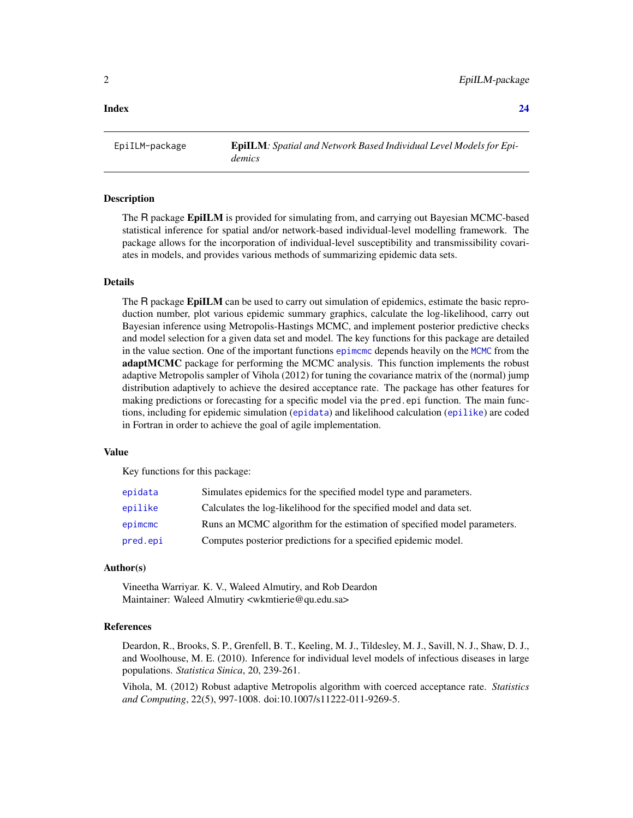#### <span id="page-1-0"></span>**Index** [24](#page-23-0)

EpiILM-package EpiILM*: Spatial and Network Based Individual Level Models for Epidemics*

#### Description

The R package **EpiILM** is provided for simulating from, and carrying out Bayesian MCMC-based statistical inference for spatial and/or network-based individual-level modelling framework. The package allows for the incorporation of individual-level susceptibility and transmissibility covariates in models, and provides various methods of summarizing epidemic data sets.

#### Details

The R package EpiILM can be used to carry out simulation of epidemics, estimate the basic reproduction number, plot various epidemic summary graphics, calculate the log-likelihood, carry out Bayesian inference using Metropolis-Hastings MCMC, and implement posterior predictive checks and model selection for a given data set and model. The key functions for this package are detailed in the value section. One of the important functions [epimcmc](#page-11-1) depends heavily on the [MCMC](#page-0-0) from the adaptMCMC package for performing the MCMC analysis. This function implements the robust adaptive Metropolis sampler of Vihola (2012) for tuning the covariance matrix of the (normal) jump distribution adaptively to achieve the desired acceptance rate. The package has other features for making predictions or forecasting for a specific model via the pred.epi function. The main functions, including for epidemic simulation ([epidata](#page-5-1)) and likelihood calculation ([epilike](#page-9-1)) are coded in Fortran in order to achieve the goal of agile implementation.

#### Value

Key functions for this package:

| epidata  | Simulates epidemics for the specified model type and parameters.         |
|----------|--------------------------------------------------------------------------|
| epilike  | Calculates the log-likelihood for the specified model and data set.      |
| epimcmc  | Runs an MCMC algorithm for the estimation of specified model parameters. |
| pred.epi | Computes posterior predictions for a specified epidemic model.           |

# Author(s)

Vineetha Warriyar. K. V., Waleed Almutiry, and Rob Deardon Maintainer: Waleed Almutiry <wkmtierie@qu.edu.sa>

#### References

Deardon, R., Brooks, S. P., Grenfell, B. T., Keeling, M. J., Tildesley, M. J., Savill, N. J., Shaw, D. J., and Woolhouse, M. E. (2010). Inference for individual level models of infectious diseases in large populations. *Statistica Sinica*, 20, 239-261.

Vihola, M. (2012) Robust adaptive Metropolis algorithm with coerced acceptance rate. *Statistics and Computing*, 22(5), 997-1008. doi:10.1007/s11222-011-9269-5.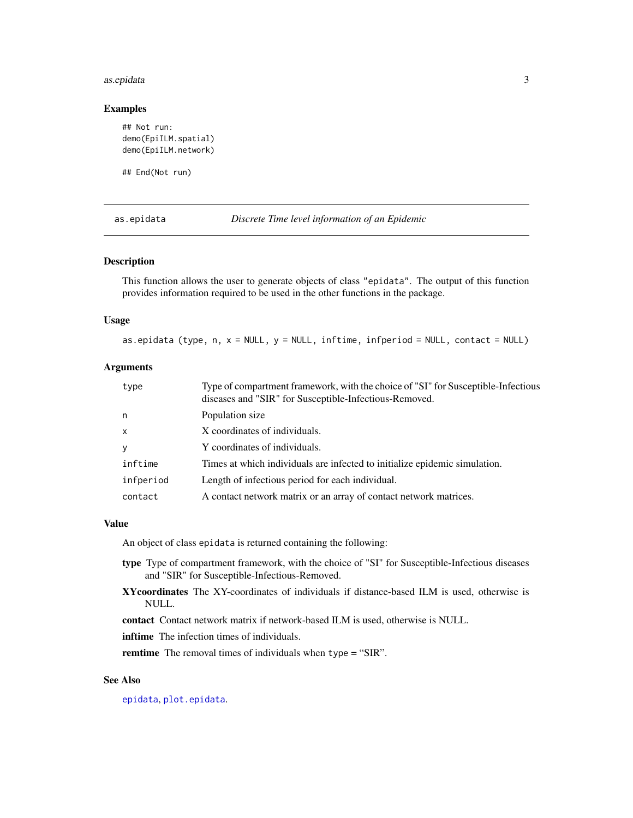#### <span id="page-2-0"></span>as.epidata 3

# Examples

```
## Not run:
demo(EpiILM.spatial)
demo(EpiILM.network)
```
## End(Not run)

<span id="page-2-1"></span>as.epidata *Discrete Time level information of an Epidemic*

#### Description

This function allows the user to generate objects of class "epidata". The output of this function provides information required to be used in the other functions in the package.

#### Usage

as.epidata (type,  $n, x = NULL, y = NULL, infinite, infperiod = NULL, contact = NULL)$ 

### **Arguments**

| type         | Type of compartment framework, with the choice of "SI" for Susceptible-Infectious<br>diseases and "SIR" for Susceptible-Infectious-Removed. |
|--------------|---------------------------------------------------------------------------------------------------------------------------------------------|
| n.           | Population size                                                                                                                             |
| $\mathsf{x}$ | X coordinates of individuals.                                                                                                               |
| y            | Y coordinates of individuals.                                                                                                               |
| inftime      | Times at which individuals are infected to initialize epidemic simulation.                                                                  |
| infperiod    | Length of infectious period for each individual.                                                                                            |
| contact      | A contact network matrix or an array of contact network matrices.                                                                           |

#### Value

An object of class epidata is returned containing the following:

- type Type of compartment framework, with the choice of "SI" for Susceptible-Infectious diseases and "SIR" for Susceptible-Infectious-Removed.
- XYcoordinates The XY-coordinates of individuals if distance-based ILM is used, otherwise is NULL.

contact Contact network matrix if network-based ILM is used, otherwise is NULL.

inftime The infection times of individuals.

remtime The removal times of individuals when type = "SIR".

# See Also

[epidata](#page-5-1), [plot.epidata](#page-14-1).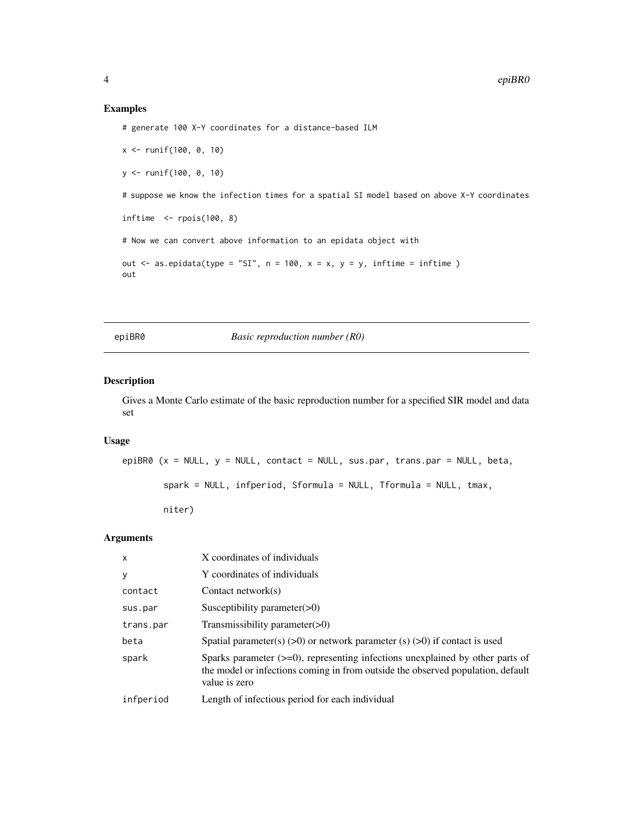# Examples

```
# generate 100 X-Y coordinates for a distance-based ILM
```

```
x <- runif(100, 0, 10)
y <- runif(100, 0, 10)
```
# suppose we know the infection times for a spatial SI model based on above X-Y coordinates

```
inftime \leq-rpois(100, 8)
```
# Now we can convert above information to an epidata object with

```
out \leq as.epidata(type = "SI", n = 100, x = x, y = y, inftime = inftime)
out
```
epiBR0 *Basic reproduction number (R0)*

# Description

Gives a Monte Carlo estimate of the basic reproduction number for a specified SIR model and data set

# Usage

```
epiBR0 (x = NULL, y = NULL, contact = NULL, sus.par, trans.par = NULL, beta,
        spark = NULL, infperiod, Sformula = NULL, Tformula = NULL, tmax,
```
niter)

#### Arguments

| $\mathsf{x}$ | X coordinates of individuals                                                                                                                                                            |
|--------------|-----------------------------------------------------------------------------------------------------------------------------------------------------------------------------------------|
| У            | Y coordinates of individuals                                                                                                                                                            |
| contact      | Contact network $(s)$                                                                                                                                                                   |
| sus.par      | Susceptibility parameter $(>0)$                                                                                                                                                         |
| trans.par    | Transmissibility parameter(>0)                                                                                                                                                          |
| beta         | Spatial parameter(s) $(>0)$ or network parameter (s) $(>0)$ if contact is used                                                                                                          |
| spark        | Sparks parameter $(\geq=0)$ , representing infections unexplained by other parts of<br>the model or infections coming in from outside the observed population, default<br>value is zero |
| infperiod    | Length of infectious period for each individual                                                                                                                                         |

<span id="page-3-0"></span>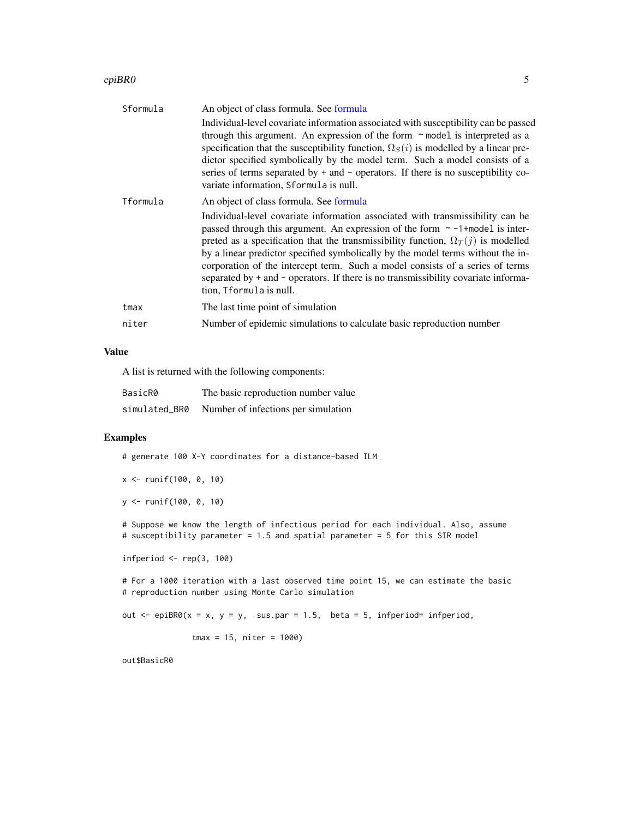#### <span id="page-4-0"></span>epiBR0  $\sim$  5

| Sformula | An object of class formula. See formula                                                                                                                                                                                                                                                                                                                                                                                                                                                                                                             |
|----------|-----------------------------------------------------------------------------------------------------------------------------------------------------------------------------------------------------------------------------------------------------------------------------------------------------------------------------------------------------------------------------------------------------------------------------------------------------------------------------------------------------------------------------------------------------|
|          | Individual-level covariate information associated with susceptibility can be passed<br>through this argument. An expression of the form $\sim$ model is interpreted as a<br>specification that the susceptibility function, $\Omega_S(i)$ is modelled by a linear pre-<br>dictor specified symbolically by the model term. Such a model consists of a<br>series of terms separated by $+$ and $-$ operators. If there is no susceptibility co-<br>variate information, Sformula is null.                                                            |
| Tformula | An object of class formula. See formula                                                                                                                                                                                                                                                                                                                                                                                                                                                                                                             |
|          | Individual-level covariate information associated with transmissibility can be<br>passed through this argument. An expression of the form $\sim$ -1+model is inter-<br>preted as a specification that the transmissibility function, $\Omega_T(j)$ is modelled<br>by a linear predictor specified symbolically by the model terms without the in-<br>corporation of the intercept term. Such a model consists of a series of terms<br>separated by + and - operators. If there is no transmissibility covariate informa-<br>tion, Tformula is null. |
| tmax     | The last time point of simulation                                                                                                                                                                                                                                                                                                                                                                                                                                                                                                                   |
| niter    | Number of epidemic simulations to calculate basic reproduction number                                                                                                                                                                                                                                                                                                                                                                                                                                                                               |
|          |                                                                                                                                                                                                                                                                                                                                                                                                                                                                                                                                                     |

# Value

A list is returned with the following components:

| BasicR0       | The basic reproduction number value |
|---------------|-------------------------------------|
| simulated BR0 | Number of infections per simulation |

# Examples

# generate 100 X-Y coordinates for a distance-based ILM

```
x <- runif(100, 0, 10)
```

```
y <- runif(100, 0, 10)
```
# Suppose we know the length of infectious period for each individual. Also, assume # susceptibility parameter = 1.5 and spatial parameter = 5 for this SIR model

```
infperiod \leq rep(3, 100)
```
# For a 1000 iteration with a last observed time point 15, we can estimate the basic # reproduction number using Monte Carlo simulation

out  $\leq$  epiBR0(x = x, y = y, sus.par = 1.5, beta = 5, infperiod= infperiod,

tmax = 15, niter = 1000)

out\$BasicR0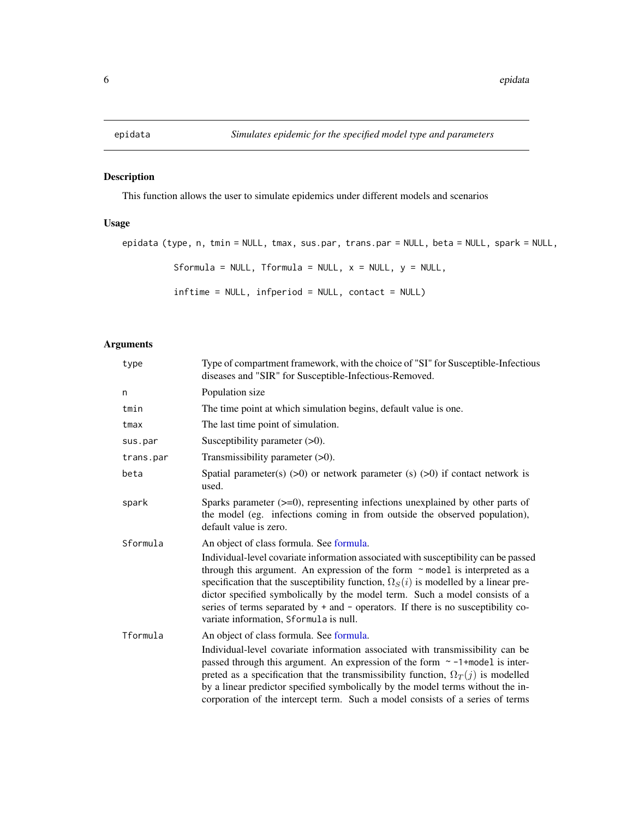<span id="page-5-1"></span><span id="page-5-0"></span>

# Description

This function allows the user to simulate epidemics under different models and scenarios

# Usage

```
epidata (type, n, tmin = NULL, tmax, sus.par, trans.par = NULL, beta = NULL, spark = NULL,
          Sformula = NULL, Tformula = NULL, x = NULL, y = NULL,
          inftime = NULL, infperiod = NULL, contact = NULL)
```
# Arguments

| type      | Type of compartment framework, with the choice of "SI" for Susceptible-Infectious<br>diseases and "SIR" for Susceptible-Infectious-Removed.                                                                                                                                                                                                                                                                                                                                                                                        |  |  |
|-----------|------------------------------------------------------------------------------------------------------------------------------------------------------------------------------------------------------------------------------------------------------------------------------------------------------------------------------------------------------------------------------------------------------------------------------------------------------------------------------------------------------------------------------------|--|--|
| n         | Population size                                                                                                                                                                                                                                                                                                                                                                                                                                                                                                                    |  |  |
| tmin      | The time point at which simulation begins, default value is one.                                                                                                                                                                                                                                                                                                                                                                                                                                                                   |  |  |
| tmax      | The last time point of simulation.                                                                                                                                                                                                                                                                                                                                                                                                                                                                                                 |  |  |
| sus.par   | Susceptibility parameter $(>0)$ .                                                                                                                                                                                                                                                                                                                                                                                                                                                                                                  |  |  |
| trans.par | Transmissibility parameter $(>0)$ .                                                                                                                                                                                                                                                                                                                                                                                                                                                                                                |  |  |
| beta      | Spatial parameter(s) $(>0)$ or network parameter (s) $(>0)$ if contact network is<br>used.                                                                                                                                                                                                                                                                                                                                                                                                                                         |  |  |
| spark     | Sparks parameter $(\geq=0)$ , representing infections unexplained by other parts of<br>the model (eg. infections coming in from outside the observed population),<br>default value is zero.                                                                                                                                                                                                                                                                                                                                        |  |  |
| Sformula  | An object of class formula. See formula.<br>Individual-level covariate information associated with susceptibility can be passed<br>through this argument. An expression of the form $\sim$ model is interpreted as a<br>specification that the susceptibility function, $\Omega_{S}(i)$ is modelled by a linear pre-<br>dictor specified symbolically by the model term. Such a model consists of a<br>series of terms separated by + and - operators. If there is no susceptibility co-<br>variate information, Sformula is null. |  |  |
| Tformula  | An object of class formula. See formula.<br>Individual-level covariate information associated with transmissibility can be<br>passed through this argument. An expression of the form $\sim$ -1+model is inter-<br>preted as a specification that the transmissibility function, $\Omega_T(j)$ is modelled<br>by a linear predictor specified symbolically by the model terms without the in-<br>corporation of the intercept term. Such a model consists of a series of terms                                                     |  |  |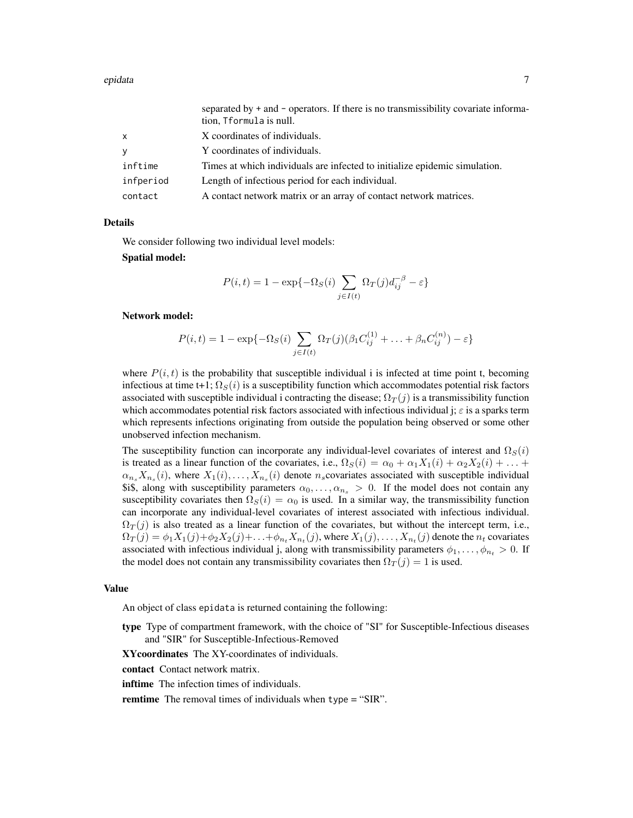|              | separated by $+$ and $-$ operators. If there is no transmissibility covariate informa-<br>tion, Tformula is null. |
|--------------|-------------------------------------------------------------------------------------------------------------------|
| $\mathsf{x}$ | X coordinates of individuals.                                                                                     |
| y            | Y coordinates of individuals.                                                                                     |
| inftime      | Times at which individuals are infected to initialize epidemic simulation.                                        |
| infperiod    | Length of infectious period for each individual.                                                                  |
| contact      | A contact network matrix or an array of contact network matrices.                                                 |

#### Details

We consider following two individual level models:

#### Spatial model:

$$
P(i,t) = 1 - \exp\{-\Omega_S(i)\sum_{j\in I(t)} \Omega_T(j)d_{ij}^{-\beta} - \varepsilon\}
$$

#### Network model:

$$
P(i,t) = 1 - \exp\{-\Omega_S(i) \sum_{j \in I(t)} \Omega_T(j) (\beta_1 C_{ij}^{(1)} + \dots + \beta_n C_{ij}^{(n)}) - \varepsilon\}
$$

where  $P(i, t)$  is the probability that susceptible individual i is infected at time point t, becoming infectious at time t+1;  $\Omega_S(i)$  is a susceptibility function which accommodates potential risk factors associated with susceptible individual i contracting the disease;  $\Omega_T(j)$  is a transmissibility function which accommodates potential risk factors associated with infectious individual j;  $\varepsilon$  is a sparks term which represents infections originating from outside the population being observed or some other unobserved infection mechanism.

The susceptibility function can incorporate any individual-level covariates of interest and  $\Omega_S(i)$ is treated as a linear function of the covariates, i.e.,  $\Omega_S(i) = \alpha_0 + \alpha_1 X_1(i) + \alpha_2 X_2(i) + \ldots$  $\alpha_{n_s}X_{n_s}(i)$ , where  $X_1(i),...,X_{n_s}(i)$  denote  $n_s$ covariates associated with susceptible individual \$i\$, along with susceptibility parameters  $\alpha_0, \ldots, \alpha_{n_s} > 0$ . If the model does not contain any susceptibility covariates then  $\Omega_S(i) = \alpha_0$  is used. In a similar way, the transmissibility function can incorporate any individual-level covariates of interest associated with infectious individual.  $\Omega_T(j)$  is also treated as a linear function of the covariates, but without the intercept term, i.e.,  $\Omega_T(j) = \phi_1 X_1(j) + \phi_2 X_2(j) + \ldots + \phi_{n_t} X_{n_t}(j)$ , where  $X_1(j), \ldots, X_{n_t}(j)$  denote the  $n_t$  covariates associated with infectious individual j, along with transmissibility parameters  $\phi_1, \dots, \phi_{n_t} > 0$ . If the model does not contain any transmissibility covariates then  $\Omega_T(j) = 1$  is used.

#### Value

An object of class epidata is returned containing the following:

type Type of compartment framework, with the choice of "SI" for Susceptible-Infectious diseases and "SIR" for Susceptible-Infectious-Removed

XYcoordinates The XY-coordinates of individuals.

contact Contact network matrix.

**inftime** The infection times of individuals.

remtime The removal times of individuals when type = "SIR".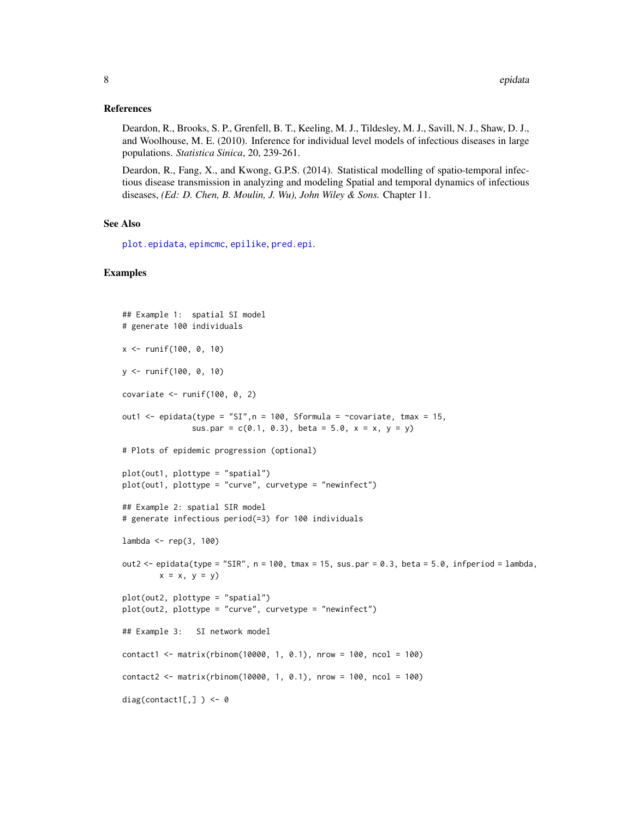#### <span id="page-7-0"></span>References

Deardon, R., Brooks, S. P., Grenfell, B. T., Keeling, M. J., Tildesley, M. J., Savill, N. J., Shaw, D. J., and Woolhouse, M. E. (2010). Inference for individual level models of infectious diseases in large populations. *Statistica Sinica*, 20, 239-261.

Deardon, R., Fang, X., and Kwong, G.P.S. (2014). Statistical modelling of spatio-temporal infectious disease transmission in analyzing and modeling Spatial and temporal dynamics of infectious diseases, *(Ed: D. Chen, B. Moulin, J. Wu), John Wiley & Sons.* Chapter 11.

#### See Also

[plot.epidata](#page-14-1), [epimcmc](#page-11-1), [epilike](#page-9-1), [pred.epi](#page-18-1).

```
## Example 1: spatial SI model
# generate 100 individuals
x <- runif(100, 0, 10)
y <- runif(100, 0, 10)
covariate \le runif(100, 0, 2)
out1 \leq epidata(type = "SI", n = 100, Sformula = \simcovariate, tmax = 15,
               sus.par = c(0.1, 0.3), beta = 5.0, x = x, y = y)
# Plots of epidemic progression (optional)
plot(out1, plottype = "spatial")
plot(out1, plottype = "curve", curvetype = "newinfect")
## Example 2: spatial SIR model
# generate infectious period(=3) for 100 individuals
lambda <- rep(3, 100)
out2 \leq epidata(type = "SIR", n = 100, tmax = 15, sus.par = 0.3, beta = 5.0, infperiod = lambda,
        x = x, y = yplot(out2, plottype = "spatial")
plot(out2, plottype = "curve", curvetype = "newinfect")
## Example 3: SI network model
contact1 <- matrix(rbinom(10000, 1, 0.1), nrow = 100, ncol = 100)
contact2 <- matrix(rbinom(10000, 1, 0.1), nrow = 100, ncol = 100)
diag(contact1[,] ) <- 0
```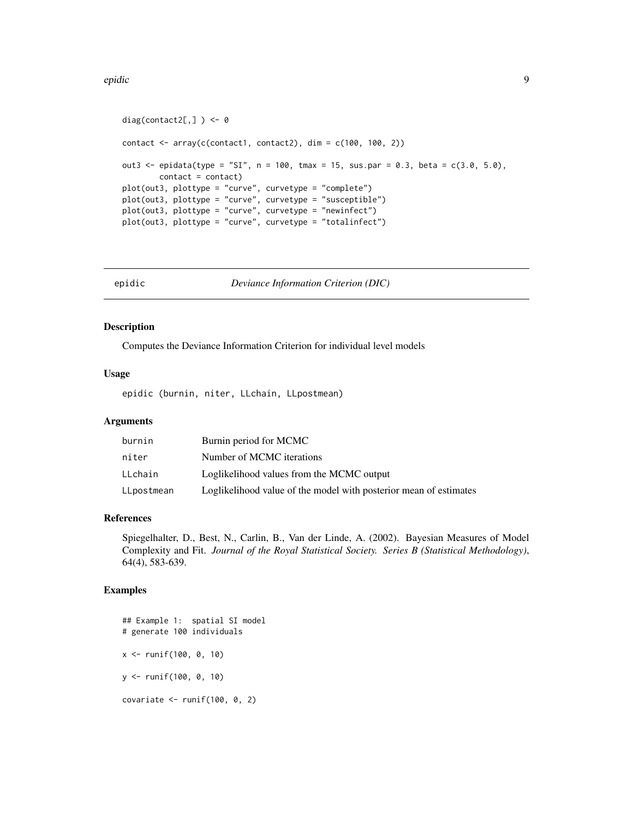#### <span id="page-8-0"></span>epidic 9

```
diag(contact2[,] ) <- 0
contact \leq array(c(contact1, contact2), dim = c(100, 100, 2))
out3 <- epidata(type = "SI", n = 100, tmax = 15, sus.par = 0.3, beta = c(3.0, 5.0),
        contact = contact)
plot(out3, plottype = "curve", curvetype = "complete")
plot(out3, plottype = "curve", curvetype = "susceptible")
plot(out3, plottype = "curve", curvetype = "newinfect")
plot(out3, plottype = "curve", curvetype = "totalinfect")
```
epidic *Deviance Information Criterion (DIC)*

#### Description

Computes the Deviance Information Criterion for individual level models

# Usage

epidic (burnin, niter, LLchain, LLpostmean)

# Arguments

| burnin     | Burnin period for MCMC                                            |
|------------|-------------------------------------------------------------------|
| niter      | Number of MCMC iterations                                         |
| LLchain    | Loglikelihood values from the MCMC output                         |
| LLpostmean | Loglikelihood value of the model with posterior mean of estimates |

# References

Spiegelhalter, D., Best, N., Carlin, B., Van der Linde, A. (2002). Bayesian Measures of Model Complexity and Fit. *Journal of the Royal Statistical Society. Series B (Statistical Methodology)*, 64(4), 583-639.

```
## Example 1: spatial SI model
# generate 100 individuals
x <- runif(100, 0, 10)
y <- runif(100, 0, 10)
covariate \le- runif(100, 0, 2)
```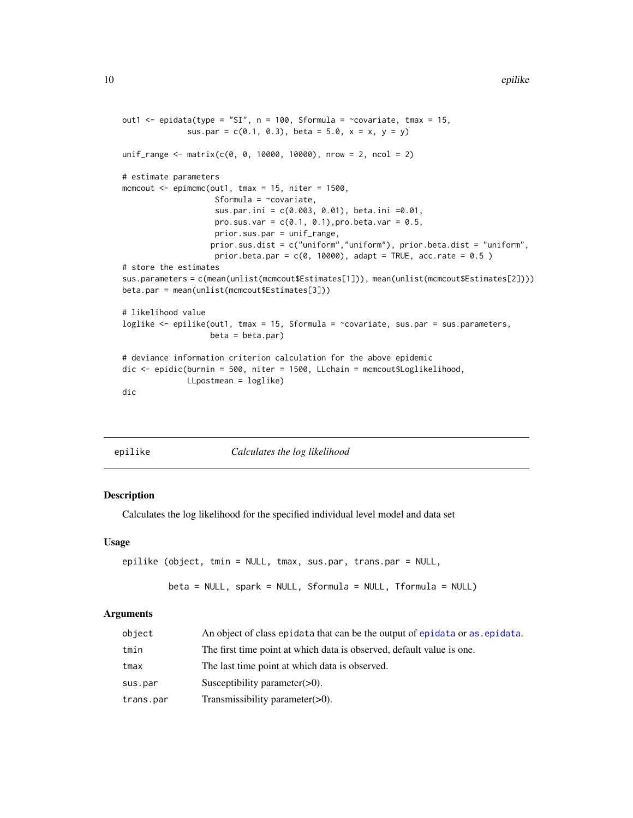```
out1 \le epidata(type = "SI", n = 100, Sformula = \simcovariate, tmax = 15,
              sus.par = c(0.1, 0.3), beta = 5.0, x = x, y = y)
unif_range <- matrix(c(0, 0, 10000, 10000), nrow = 2, ncol = 2)
# estimate parameters
mcmcout \leq epimcmc(out1, tmax = 15, niter = 1500,
                    Sformula = \simcovariate,
                    sus.par.ini = c(0.003, 0.01), beta.ini =0.01,
                    pro.sus.var = c(0.1, 0.1), pro.beta.var = 0.5,
                    prior.sus.par = unif_range,
                   prior.sus.dist = c("uniform","uniform"), prior.beta.dist = "uniform",
                    prior.beta.par = c(0, 10000), adapt = TRUE, acc.rate = 0.5)
# store the estimates
sus.parameters = c(mean(unlist(mcmcout$Estimates[1])), mean(unlist(mcmcout$Estimates[2])))
beta.par = mean(unlist(mcmcout$Estimates[3]))
# likelihood value
loglike <- epilike(out1, tmax = 15, Sformula = ~covariate, sus.par = sus.parameters,
                   beta = beta.par)# deviance information criterion calculation for the above epidemic
dic <- epidic(burnin = 500, niter = 1500, LLchain = mcmcout$Loglikelihood,
              LLpostmean = loglike)
dic
```
<span id="page-9-1"></span>

|  |  | epilike |  |
|--|--|---------|--|
|  |  |         |  |

#### *Calculates the log likelihood*

#### **Description**

Calculates the log likelihood for the specified individual level model and data set

#### Usage

```
epilike (object, tmin = NULL, tmax, sus.par, trans.par = NULL,
        beta = NULL, spark = NULL, Sformula = NULL, Tformula = NULL)
```
#### Arguments

| object    | An object of class epidata that can be the output of epidata or as epidata. |
|-----------|-----------------------------------------------------------------------------|
| tmin      | The first time point at which data is observed, default value is one.       |
| tmax      | The last time point at which data is observed.                              |
| sus.par   | Susceptibility parameter $(>0)$ .                                           |
| trans.par | Transmissibility parameter $(>0)$ .                                         |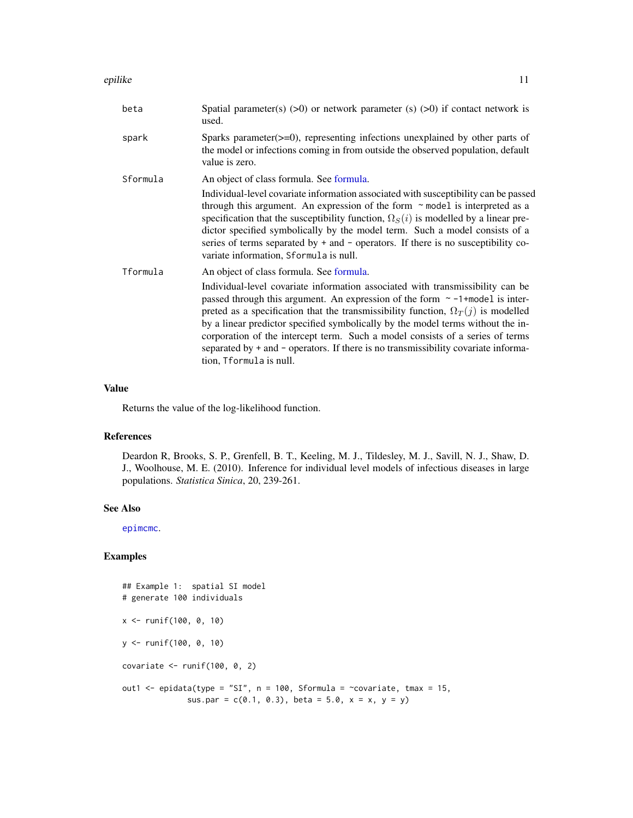#### <span id="page-10-0"></span>epilike 11

| beta     | Spatial parameter(s) $(>0)$ or network parameter (s) $(>0)$ if contact network is<br>used.                                                                                                                                                                                                                                                                                                                                                                                                                                                                                                      |  |  |
|----------|-------------------------------------------------------------------------------------------------------------------------------------------------------------------------------------------------------------------------------------------------------------------------------------------------------------------------------------------------------------------------------------------------------------------------------------------------------------------------------------------------------------------------------------------------------------------------------------------------|--|--|
| spark    | Sparks parameter $(\geq=0)$ , representing infections unexplained by other parts of<br>the model or infections coming in from outside the observed population, default<br>value is zero.                                                                                                                                                                                                                                                                                                                                                                                                        |  |  |
| Sformula | An object of class formula. See formula.<br>Individual-level covariate information associated with susceptibility can be passed<br>through this argument. An expression of the form $\sim$ model is interpreted as a<br>specification that the susceptibility function, $\Omega_S(i)$ is modelled by a linear pre-<br>dictor specified symbolically by the model term. Such a model consists of a<br>series of terms separated by $+$ and $-$ operators. If there is no susceptibility co-<br>variate information, Sformula is null.                                                            |  |  |
| Tformula | An object of class formula. See formula.<br>Individual-level covariate information associated with transmissibility can be<br>passed through this argument. An expression of the form $\sim$ -1+model is inter-<br>preted as a specification that the transmissibility function, $\Omega_T(j)$ is modelled<br>by a linear predictor specified symbolically by the model terms without the in-<br>corporation of the intercept term. Such a model consists of a series of terms<br>separated by + and - operators. If there is no transmissibility covariate informa-<br>tion, Tformula is null. |  |  |

# Value

Returns the value of the log-likelihood function.

# References

Deardon R, Brooks, S. P., Grenfell, B. T., Keeling, M. J., Tildesley, M. J., Savill, N. J., Shaw, D. J., Woolhouse, M. E. (2010). Inference for individual level models of infectious diseases in large populations. *Statistica Sinica*, 20, 239-261.

# See Also

[epimcmc](#page-11-1).

```
## Example 1: spatial SI model
# generate 100 individuals
x <- runif(100, 0, 10)
y <- runif(100, 0, 10)
covariate \le- runif(100, 0, 2)
out1 <- epidata(type = "SI", n = 100, Sformula = ~covariate, tmax = 15,
              sus.par = c(0.1, 0.3), beta = 5.0, x = x, y = y)
```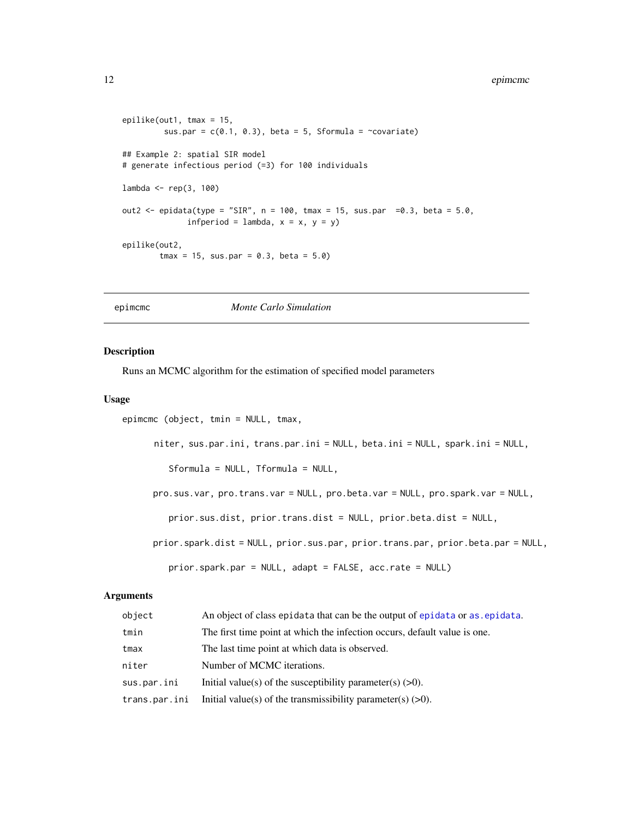```
epilike(out1, tmax = 15,
        sus.par = c(0.1, 0.3), beta = 5, Sformula = ~covariate)
## Example 2: spatial SIR model
# generate infectious period (=3) for 100 individuals
lambda <- rep(3, 100)
out2 <- epidata(type = "SIR", n = 100, tmax = 15, sus.par =0.3, beta = 5.0,
              infperiod = lambda, x = x, y = y)
epilike(out2,
        tmax = 15, sus.par = 0.3, beta = 5.0)
```
<span id="page-11-1"></span>epimcmc *Monte Carlo Simulation*

#### Description

Runs an MCMC algorithm for the estimation of specified model parameters

# Usage

```
epimcmc (object, tmin = NULL, tmax,
```
niter, sus.par.ini, trans.par.ini = NULL, beta.ini = NULL, spark.ini = NULL,

Sformula = NULL, Tformula = NULL,

pro.sus.var, pro.trans.var = NULL, pro.beta.var = NULL, pro.spark.var = NULL,

prior.sus.dist, prior.trans.dist = NULL, prior.beta.dist = NULL,

prior.spark.dist = NULL, prior.sus.par, prior.trans.par, prior.beta.par = NULL,

```
prior.spark.par = NULL, adapt = FALSE, acc.rate = NULL)
```
# Arguments

| object        | An object of class epidata that can be the output of epidata or as epidata. |
|---------------|-----------------------------------------------------------------------------|
| tmin          | The first time point at which the infection occurs, default value is one.   |
| tmax          | The last time point at which data is observed.                              |
| niter         | Number of MCMC iterations.                                                  |
| sus.par.ini   | Initial value(s) of the susceptibility parameter(s) $(>0)$ .                |
| trans.par.ini | Initial value(s) of the transmissibility parameter(s) $(>0)$ .              |
|               |                                                                             |

<span id="page-11-0"></span>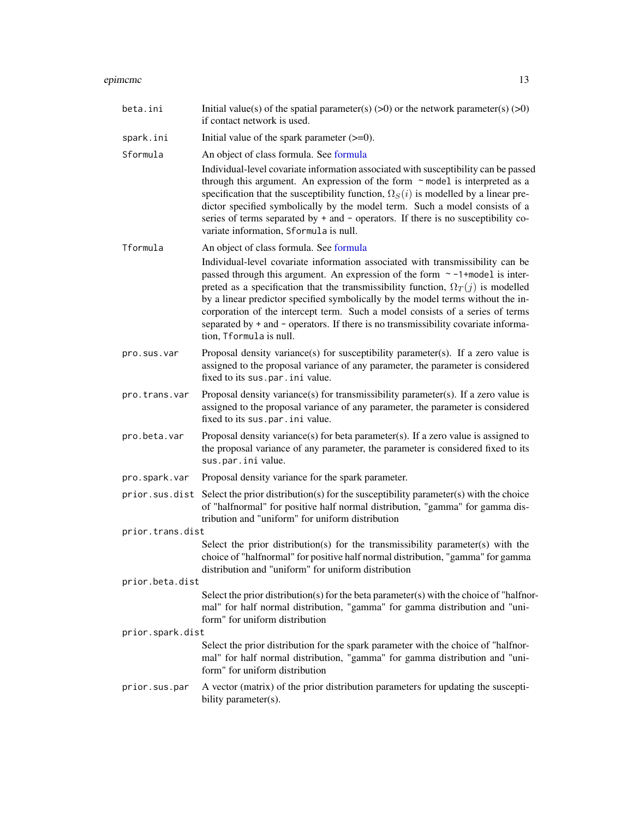#### <span id="page-12-0"></span>epimcmc 13

| beta.ini         | Initial value(s) of the spatial parameter(s) $(>0)$ or the network parameter(s) $(>0)$<br>if contact network is used.                                                                                                                                                                                                                                                                                                                                                                                                                                                                          |
|------------------|------------------------------------------------------------------------------------------------------------------------------------------------------------------------------------------------------------------------------------------------------------------------------------------------------------------------------------------------------------------------------------------------------------------------------------------------------------------------------------------------------------------------------------------------------------------------------------------------|
| spark.ini        | Initial value of the spark parameter $(\geq=0)$ .                                                                                                                                                                                                                                                                                                                                                                                                                                                                                                                                              |
| Sformula         | An object of class formula. See formula                                                                                                                                                                                                                                                                                                                                                                                                                                                                                                                                                        |
|                  | Individual-level covariate information associated with susceptibility can be passed<br>through this argument. An expression of the form ~ model is interpreted as a<br>specification that the susceptibility function, $\Omega_S(i)$ is modelled by a linear pre-<br>dictor specified symbolically by the model term. Such a model consists of a<br>series of terms separated by + and - operators. If there is no susceptibility co-<br>variate information, Sformula is null.                                                                                                                |
| Tformula         | An object of class formula. See formula<br>Individual-level covariate information associated with transmissibility can be<br>passed through this argument. An expression of the form $\sim$ -1+model is inter-<br>preted as a specification that the transmissibility function, $\Omega_T(j)$ is modelled<br>by a linear predictor specified symbolically by the model terms without the in-<br>corporation of the intercept term. Such a model consists of a series of terms<br>separated by + and - operators. If there is no transmissibility covariate informa-<br>tion, Tformula is null. |
| pro.sus.var      | Proposal density variance(s) for susceptibility parameter(s). If a zero value is<br>assigned to the proposal variance of any parameter, the parameter is considered<br>fixed to its sus.par.ini value.                                                                                                                                                                                                                                                                                                                                                                                         |
| pro.trans.var    | Proposal density variance(s) for transmissibility parameter(s). If a zero value is<br>assigned to the proposal variance of any parameter, the parameter is considered<br>fixed to its sus.par.ini value.                                                                                                                                                                                                                                                                                                                                                                                       |
| pro.beta.var     | Proposal density variance(s) for beta parameter(s). If a zero value is assigned to<br>the proposal variance of any parameter, the parameter is considered fixed to its<br>sus.par.ini value.                                                                                                                                                                                                                                                                                                                                                                                                   |
| pro.spark.var    | Proposal density variance for the spark parameter.                                                                                                                                                                                                                                                                                                                                                                                                                                                                                                                                             |
| prior.sus.dist   | Select the prior distribution(s) for the susceptibility parameter(s) with the choice<br>of "halfnormal" for positive half normal distribution, "gamma" for gamma dis-<br>tribution and "uniform" for uniform distribution                                                                                                                                                                                                                                                                                                                                                                      |
| prior.trans.dist |                                                                                                                                                                                                                                                                                                                                                                                                                                                                                                                                                                                                |
|                  | Select the prior distribution(s) for the transmissibility parameter(s) with the<br>choice of "halfnormal" for positive half normal distribution, "gamma" for gamma<br>distribution and "uniform" for uniform distribution                                                                                                                                                                                                                                                                                                                                                                      |
| prior.beta.dist  |                                                                                                                                                                                                                                                                                                                                                                                                                                                                                                                                                                                                |
|                  | Select the prior distribution(s) for the beta parameter(s) with the choice of "halfnor-<br>mal" for half normal distribution, "gamma" for gamma distribution and "uni-<br>form" for uniform distribution                                                                                                                                                                                                                                                                                                                                                                                       |
| prior.spark.dist |                                                                                                                                                                                                                                                                                                                                                                                                                                                                                                                                                                                                |
|                  | Select the prior distribution for the spark parameter with the choice of "halfnor-<br>mal" for half normal distribution, "gamma" for gamma distribution and "uni-<br>form" for uniform distribution                                                                                                                                                                                                                                                                                                                                                                                            |
| prior.sus.par    | A vector (matrix) of the prior distribution parameters for updating the suscepti-<br>bility parameter(s).                                                                                                                                                                                                                                                                                                                                                                                                                                                                                      |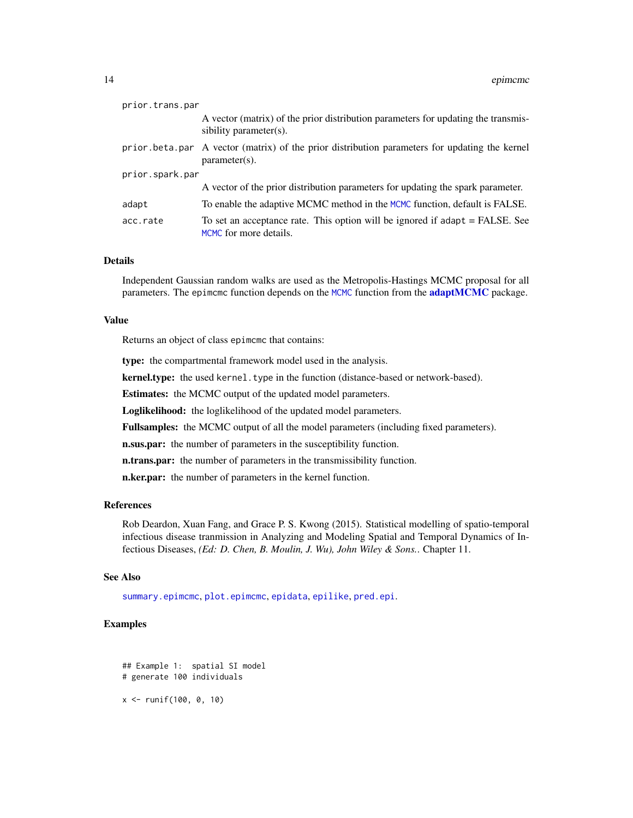<span id="page-13-0"></span>

| prior.trans.par |                                                                                                                   |
|-----------------|-------------------------------------------------------------------------------------------------------------------|
|                 | A vector (matrix) of the prior distribution parameters for updating the transmis-<br>sibility parameter(s).       |
|                 | prior beta.par A vector (matrix) of the prior distribution parameters for updating the kernel<br>$parameter(s)$ . |
| prior.spark.par |                                                                                                                   |
|                 | A vector of the prior distribution parameters for updating the spark parameter.                                   |
| adapt           | To enable the adaptive MCMC method in the MCMC function, default is FALSE.                                        |
| acc.rate        | To set an acceptance rate. This option will be ignored if adapt = FALSE. See<br>MCMC for more details.            |

# Details

Independent Gaussian random walks are used as the Metropolis-Hastings MCMC proposal for all parameters. The epimcmc function depends on the [MCMC](#page-0-0) function from the **[adaptMCMC](#page-0-0)** package.

#### Value

Returns an object of class epimcmc that contains:

type: the compartmental framework model used in the analysis.

kernel.type: the used kernel.type in the function (distance-based or network-based).

Estimates: the MCMC output of the updated model parameters.

Loglikelihood: the loglikelihood of the updated model parameters.

Fullsamples: the MCMC output of all the model parameters (including fixed parameters).

**n.sus.par:** the number of parameters in the susceptibility function.

n.trans.par: the number of parameters in the transmissibility function.

n.ker.par: the number of parameters in the kernel function.

# References

Rob Deardon, Xuan Fang, and Grace P. S. Kwong (2015). Statistical modelling of spatio-temporal infectious disease tranmission in Analyzing and Modeling Spatial and Temporal Dynamics of Infectious Diseases, *(Ed: D. Chen, B. Moulin, J. Wu), John Wiley & Sons.*. Chapter 11.

# See Also

[summary.epimcmc](#page-20-1), [plot.epimcmc](#page-16-1), [epidata](#page-5-1), [epilike](#page-9-1), [pred.epi](#page-18-1).

#### Examples

## Example 1: spatial SI model # generate 100 individuals x <- runif(100, 0, 10)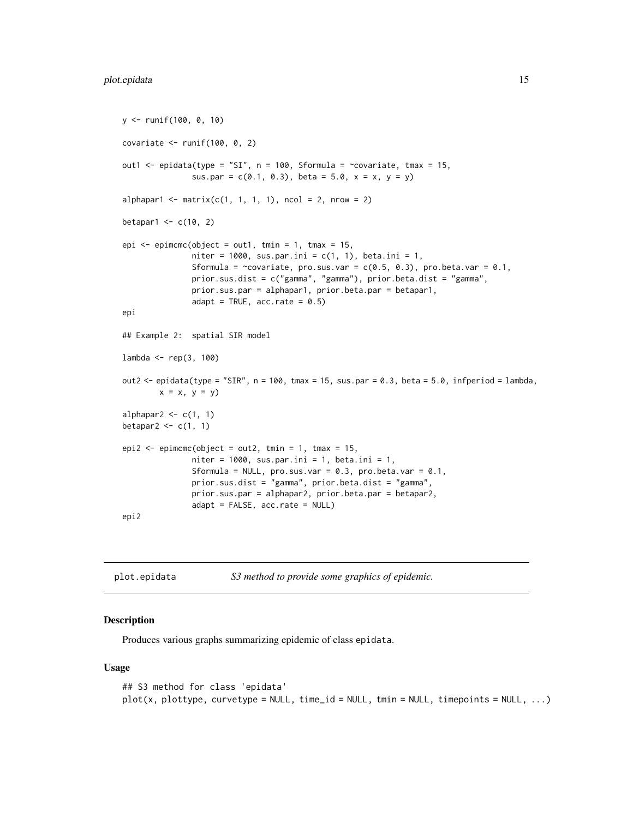```
y <- runif(100, 0, 10)
covariate \le- runif(100, 0, 2)
out1 <- epidata(type = "SI", n = 100, Sformula = ~covariate, tmax = 15,
               sus.par = c(0.1, 0.3), beta = 5.0, x = x, y = y)
alphapar1 \leq matrix(c(1, 1, 1, 1), ncol = 2, nrow = 2)
betapar1 \leq c(10, 2)
epi \leq epimcmc(object = out1, tmin = 1, tmax = 15,
               niter = 1000, sus.par.ini = c(1, 1), beta.ini = 1,
               Sformula = \simcovariate, pro.sus.var = c(0.5, 0.3), pro.beta.var = 0.1,
               prior.sus.dist = c("gamma", "gamma"), prior.beta.dist = "gamma",
               prior.sus.par = alphapar1, prior.beta.par = betapar1,
               adapt = TRUE, acc.rate = 0.5)
epi
## Example 2: spatial SIR model
lambda <- rep(3, 100)
out2 \le epidata(type = "SIR", n = 100, tmax = 15, sus.par = 0.3, beta = 5.0, infperiod = lambda,
        x = x, y = yalphapar2 \leq c(1, 1)
betapar2 \leq c(1, 1)
epi2 \leq epimcmc(object = out2, tmin = 1, tmax = 15,
               niter = 1000, sus.par.ini = 1, beta.ini = 1,
               Sformula = NULL, pro.sus.var = 0.3, pro.beta.var = 0.1,
               prior.sus.dist = "gamma", prior.beta.dist = "gamma",
               prior.sus.par = alphapar2, prior.beta.par = betapar2,
               adapt = FALSE, acc.rate = NULL)
```

```
epi2
```
<span id="page-14-1"></span>

| plot.epidata | S3 method to provide some graphics of epidemic. |  |
|--------------|-------------------------------------------------|--|
|--------------|-------------------------------------------------|--|

#### Description

Produces various graphs summarizing epidemic of class epidata.

#### Usage

```
## S3 method for class 'epidata'
plot(x, plottype, curvetype = NULL, time_id = NULL, tmin = NULL, timepoints = NULL, ...)
```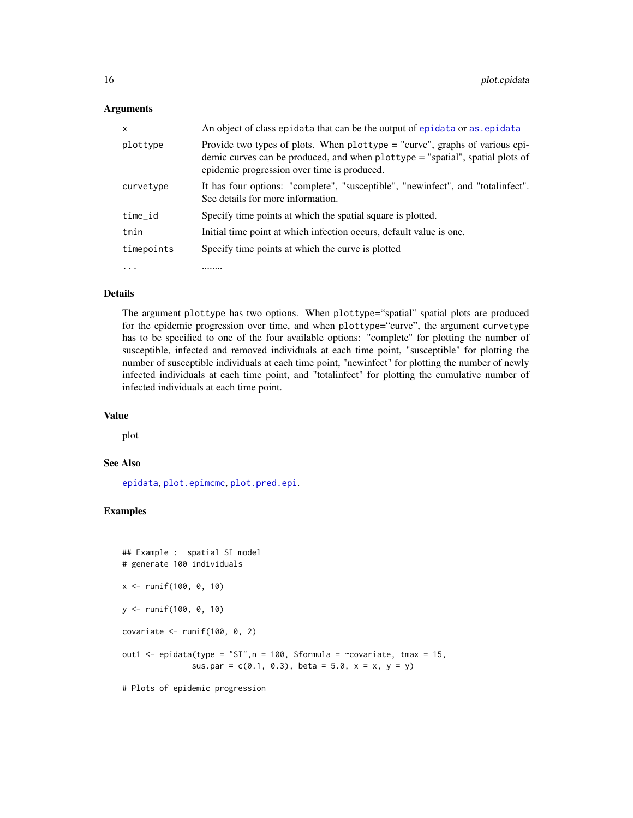### <span id="page-15-0"></span>**Arguments**

| x          | An object of class epidata that can be the output of epidata or as epidata                                                                                                                                    |
|------------|---------------------------------------------------------------------------------------------------------------------------------------------------------------------------------------------------------------|
| plottype   | Provide two types of plots. When $plottype = "curve", graphs of various epi-$<br>demic curves can be produced, and when plottype = "spatial", spatial plots of<br>epidemic progression over time is produced. |
| curvetype  | It has four options: "complete", "susceptible", "newinfect", and "totalinfect".<br>See details for more information.                                                                                          |
| time_id    | Specify time points at which the spatial square is plotted.                                                                                                                                                   |
| tmin       | Initial time point at which infection occurs, default value is one.                                                                                                                                           |
| timepoints | Specify time points at which the curve is plotted                                                                                                                                                             |
| $\ddotsc$  |                                                                                                                                                                                                               |

#### Details

The argument plottype has two options. When plottype="spatial" spatial plots are produced for the epidemic progression over time, and when plottype="curve", the argument curvetype has to be specified to one of the four available options: "complete" for plotting the number of susceptible, infected and removed individuals at each time point, "susceptible" for plotting the number of susceptible individuals at each time point, "newinfect" for plotting the number of newly infected individuals at each time point, and "totalinfect" for plotting the cumulative number of infected individuals at each time point.

# Value

plot

#### See Also

[epidata](#page-5-1), [plot.epimcmc](#page-16-1), [plot.pred.epi](#page-17-1).

```
## Example : spatial SI model
# generate 100 individuals
x <- runif(100, 0, 10)
y <- runif(100, 0, 10)
covariate \le- runif(100, 0, 2)
out1 <- epidata(type = "SI", n = 100, Sformula = ~covariate, tmax = 15,
               sus.par = c(0.1, 0.3), beta = 5.0, x = x, y = y)
# Plots of epidemic progression
```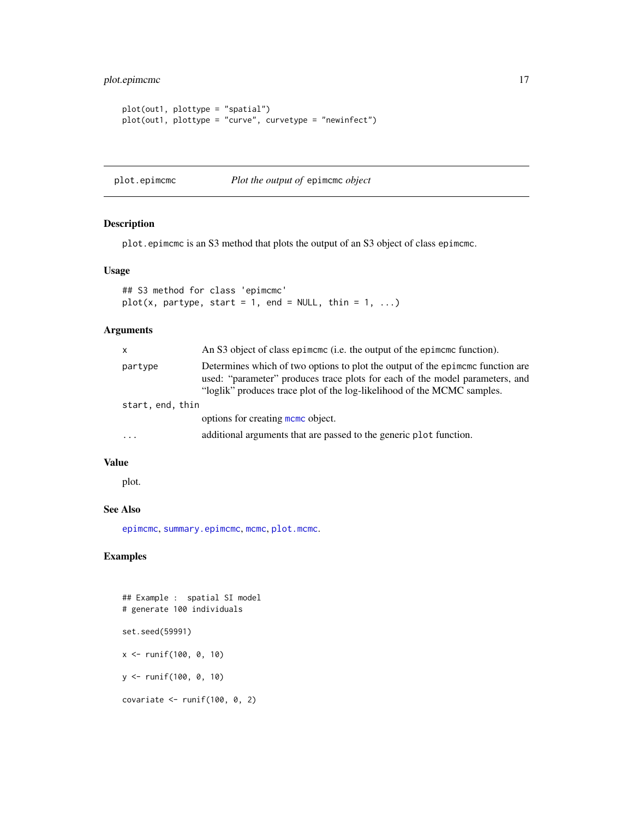<span id="page-16-0"></span>plot.epimcmc 17

```
plot(out1, plottype = "spatial")
plot(out1, plottype = "curve", curvetype = "newinfect")
```
<span id="page-16-1"></span>plot.epimcmc *Plot the output of* epimcmc *object*

# Description

plot.epimcmc is an S3 method that plots the output of an S3 object of class epimcmc.

# Usage

```
## S3 method for class 'epimcmc'
plot(x, partype, start = 1, end = NULL, thin = 1, ...)
```
# Arguments

| x                | An S3 object of class epimeme (i.e. the output of the epimeme function).                                                                                                                                                                  |
|------------------|-------------------------------------------------------------------------------------------------------------------------------------------------------------------------------------------------------------------------------------------|
| partype          | Determines which of two options to plot the output of the epineme function are<br>used: "parameter" produces trace plots for each of the model parameters, and<br>"loglik" produces trace plot of the log-likelihood of the MCMC samples. |
| start, end, thin |                                                                                                                                                                                                                                           |
|                  | options for creating mome object.                                                                                                                                                                                                         |
| $\cdots$         | additional arguments that are passed to the generic plot function.                                                                                                                                                                        |

# Value

plot.

# See Also

[epimcmc](#page-11-1), [summary.epimcmc](#page-20-1), [mcmc](#page-0-0), [plot.mcmc](#page-0-0).

```
## Example : spatial SI model
# generate 100 individuals
set.seed(59991)
x <- runif(100, 0, 10)
y <- runif(100, 0, 10)
covariate \le- runif(100, 0, 2)
```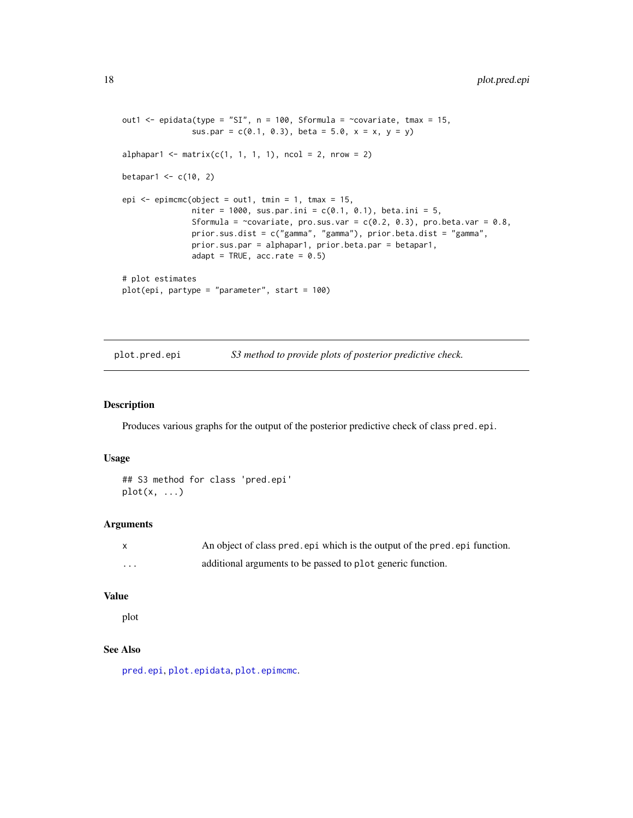```
out1 <- epidata(type = "SI", n = 100, Sformula = ~covariate, tmax = 15,
               sus.par = c(0.1, 0.3), beta = 5.0, x = x, y = y)
alphapar1 <- matrix(c(1, 1, 1, 1), ncol = 2, nrow = 2)
betapar1 \leq c(10, 2)
epi \leq epimcmc(object = out1, tmin = 1, tmax = 15,
               niter = 1000, sus.par.ini = c(0.1, 0.1), beta.ini = 5,
               Sformula = \inftycovariate, pro.sus.var = c(0.2, 0.3), pro.beta.var = 0.8,
               prior.sus.dist = c("gamma", "gamma"), prior.beta.dist = "gamma",
               prior.sus.par = alphapar1, prior.beta.par = betapar1,
               adapt = TRUE, acc.rate = 0.5)
# plot estimates
plot(epi, partype = "parameter", start = 100)
```
<span id="page-17-1"></span>plot.pred.epi *S3 method to provide plots of posterior predictive check.*

# Description

Produces various graphs for the output of the posterior predictive check of class pred.epi.

# Usage

```
## S3 method for class 'pred.epi'
plot(x, \ldots)
```
# Arguments

|                         | An object of class pred, epi which is the output of the pred, epi function. |
|-------------------------|-----------------------------------------------------------------------------|
| $\cdot$ $\cdot$ $\cdot$ | additional arguments to be passed to plot generic function.                 |

# Value

plot

# See Also

[pred.epi](#page-18-1), [plot.epidata](#page-14-1), [plot.epimcmc](#page-16-1).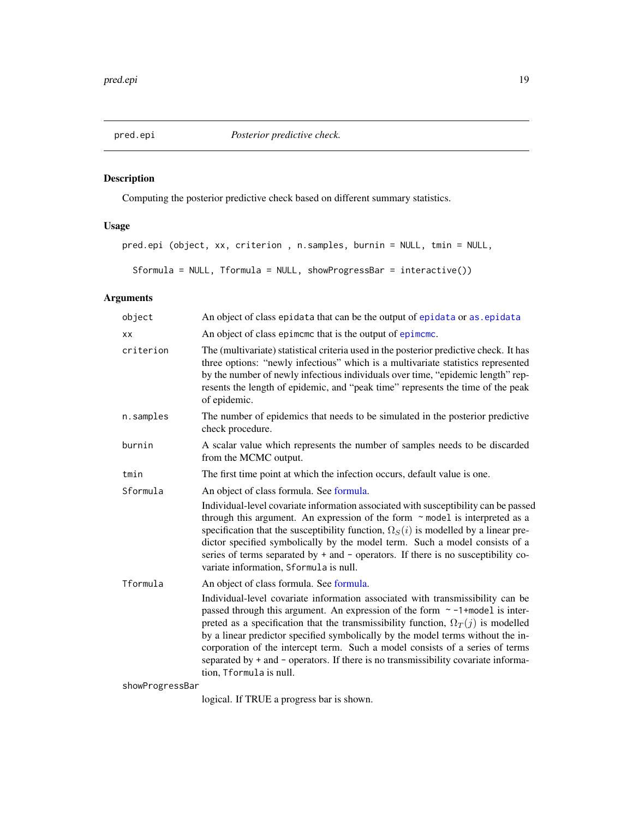# <span id="page-18-1"></span><span id="page-18-0"></span>Description

Computing the posterior predictive check based on different summary statistics.

# Usage

```
pred.epi (object, xx, criterion , n.samples, burnin = NULL, tmin = NULL,
```
Sformula = NULL, Tformula = NULL, showProgressBar = interactive())

# Arguments

| object          | An object of class epidata that can be the output of epidata or as epidata                                                                                                                                                                                                                                                                                                                                                                                                                                                                          |
|-----------------|-----------------------------------------------------------------------------------------------------------------------------------------------------------------------------------------------------------------------------------------------------------------------------------------------------------------------------------------------------------------------------------------------------------------------------------------------------------------------------------------------------------------------------------------------------|
| XX              | An object of class epimeme that is the output of epimeme.                                                                                                                                                                                                                                                                                                                                                                                                                                                                                           |
| criterion       | The (multivariate) statistical criteria used in the posterior predictive check. It has<br>three options: "newly infectious" which is a multivariate statistics represented<br>by the number of newly infectious individuals over time, "epidemic length" rep-<br>resents the length of epidemic, and "peak time" represents the time of the peak<br>of epidemic.                                                                                                                                                                                    |
| n.samples       | The number of epidemics that needs to be simulated in the posterior predictive<br>check procedure.                                                                                                                                                                                                                                                                                                                                                                                                                                                  |
| burnin          | A scalar value which represents the number of samples needs to be discarded<br>from the MCMC output.                                                                                                                                                                                                                                                                                                                                                                                                                                                |
| tmin            | The first time point at which the infection occurs, default value is one.                                                                                                                                                                                                                                                                                                                                                                                                                                                                           |
| Sformula        | An object of class formula. See formula.                                                                                                                                                                                                                                                                                                                                                                                                                                                                                                            |
|                 | Individual-level covariate information associated with susceptibility can be passed<br>through this argument. An expression of the form $\sim$ model is interpreted as a<br>specification that the susceptibility function, $\Omega_{S}(i)$ is modelled by a linear pre-<br>dictor specified symbolically by the model term. Such a model consists of a<br>series of terms separated by + and - operators. If there is no susceptibility co-<br>variate information, Sformula is null.                                                              |
| Tformula        | An object of class formula. See formula.                                                                                                                                                                                                                                                                                                                                                                                                                                                                                                            |
|                 | Individual-level covariate information associated with transmissibility can be<br>passed through this argument. An expression of the form $\sim$ -1+model is inter-<br>preted as a specification that the transmissibility function, $\Omega_T(j)$ is modelled<br>by a linear predictor specified symbolically by the model terms without the in-<br>corporation of the intercept term. Such a model consists of a series of terms<br>separated by + and - operators. If there is no transmissibility covariate informa-<br>tion, Tformula is null. |
| showProgressBar |                                                                                                                                                                                                                                                                                                                                                                                                                                                                                                                                                     |

logical. If TRUE a progress bar is shown.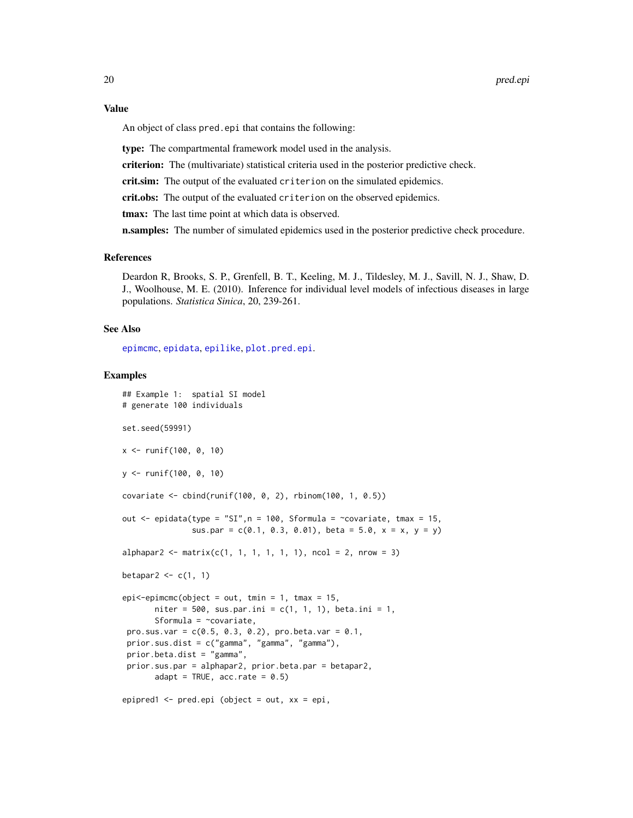<span id="page-19-0"></span>An object of class pred.epi that contains the following:

type: The compartmental framework model used in the analysis.

criterion: The (multivariate) statistical criteria used in the posterior predictive check.

crit.sim: The output of the evaluated criterion on the simulated epidemics.

crit.obs: The output of the evaluated criterion on the observed epidemics.

tmax: The last time point at which data is observed.

n.samples: The number of simulated epidemics used in the posterior predictive check procedure.

#### References

Deardon R, Brooks, S. P., Grenfell, B. T., Keeling, M. J., Tildesley, M. J., Savill, N. J., Shaw, D. J., Woolhouse, M. E. (2010). Inference for individual level models of infectious diseases in large populations. *Statistica Sinica*, 20, 239-261.

#### See Also

[epimcmc](#page-11-1), [epidata](#page-5-1), [epilike](#page-9-1), [plot.pred.epi](#page-17-1).

```
## Example 1: spatial SI model
# generate 100 individuals
set.seed(59991)
x <- runif(100, 0, 10)
y <- runif(100, 0, 10)
covariate <- cbind(runif(100, 0, 2), rbinom(100, 1, 0.5))
out \leq epidata(type = "SI", n = 100, Sformula = \simcovariate, tmax = 15,
               sus.par = c(0.1, 0.3, 0.01), beta = 5.0, x = x, y = y)
alpha alphapar2 <- matrix(c(1, 1, 1, 1, 1, 1), ncol = 2, nrow = 3)
betapar2 \leq c(1, 1)
epi<-epimcmc(object = out, tmin = 1, tmax = 15,
       niter = 500, sus.par.ini = c(1, 1, 1), beta.ini = 1,
       Sformula = \simcovariate,
 pro.sus.var = c(0.5, 0.3, 0.2), pro.beta.var = 0.1,
 prior.sus.dist = c("gamma", "gamma", "gamma"),
 prior.beta.dist = "gamma",
 prior.sus.par = alphapar2, prior.beta.par = betapar2,
       adapt = TRUE, acc.rate = 0.5)
epipred1 <- pred.epi (object = out, xx = epi,
```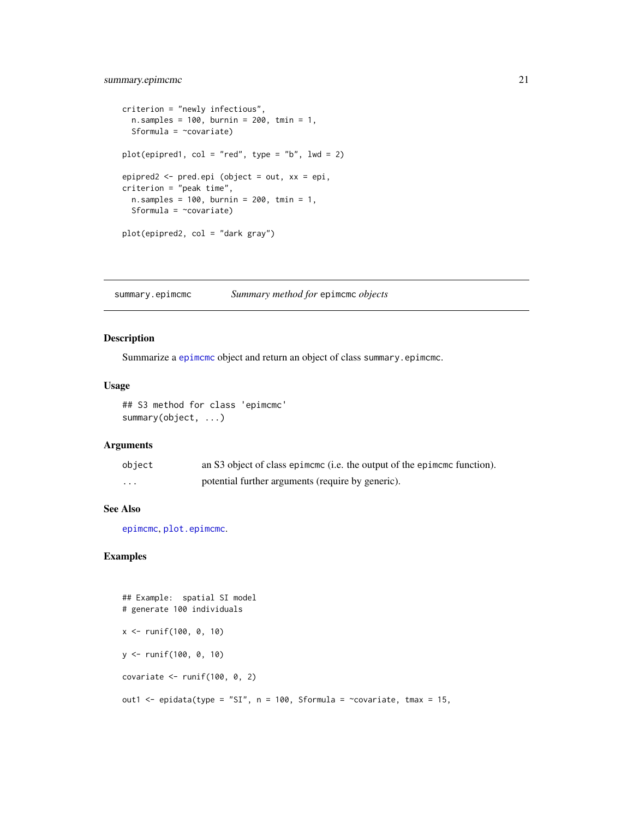# <span id="page-20-0"></span>summary.epimcmc 21

```
criterion = "newly infectious",
  n.samples = 100, burnin = 200, tmin = 1,
  Sformula = ~covariate)
plot(epipred1, col = "red", type = "b", lwd = 2)epipred2 <- pred.epi (object = out, xx = epi,
criterion = "peak time",
 n.samples = 100, burnin = 200, tmin = 1,
  Sformula = \simcovariate)
plot(epipred2, col = "dark gray")
```
<span id="page-20-1"></span>summary.epimcmc *Summary method for* epimcmc *objects*

#### Description

Summarize a [epimcmc](#page-11-1) object and return an object of class summary.epimcmc.

# Usage

## S3 method for class 'epimcmc' summary(object, ...)

### Arguments

| object   | an S3 object of class epimeme (i.e. the output of the epimeme function). |
|----------|--------------------------------------------------------------------------|
| $\cdots$ | potential further arguments (require by generic).                        |

# See Also

[epimcmc](#page-11-1), [plot.epimcmc](#page-16-1).

```
## Example: spatial SI model
# generate 100 individuals
x <- runif(100, 0, 10)
y <- runif(100, 0, 10)
covariate \le- runif(100, 0, 2)
out1 <- epidata(type = "SI", n = 100, Sformula = ~covariate, tmax = 15,
```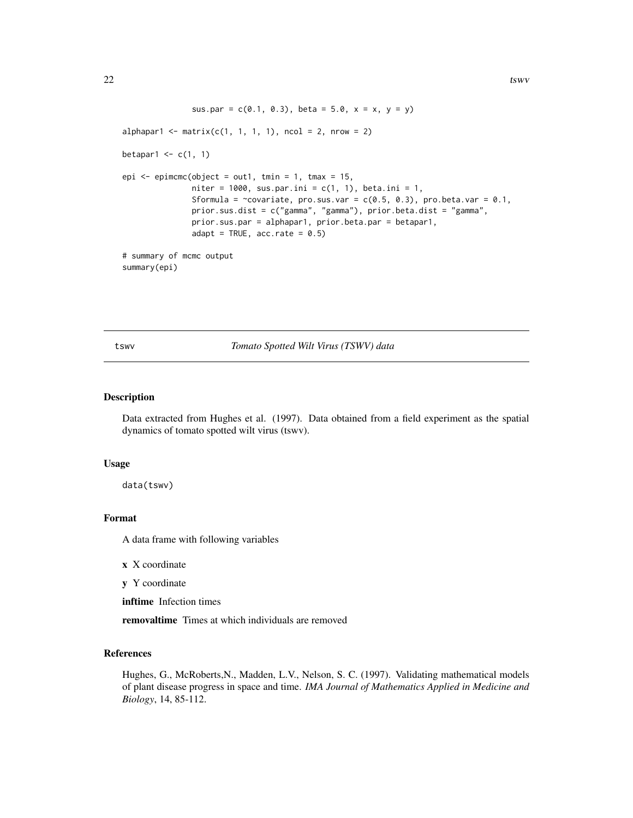```
sus.par = c(0.1, 0.3), beta = 5.0, x = x, y = y)
alphapar1 <- matrix(c(1, 1, 1, 1), ncol = 2, nrow = 2)betapar1 \leq c(1, 1)epi \leq epimcmc(object = out1, tmin = 1, tmax = 15,
               niter = 1000, sus.par.ini = c(1, 1), beta.ini = 1,
               Sformula = \simcovariate, pro.sus.var = c(0.5, 0.3), pro.beta.var = 0.1,
               prior.sus.dist = c("gamma", "gamma"), prior.beta.dist = "gamma",
               prior.sus.par = alphapar1, prior.beta.par = betapar1,
               adapt = TRUE, acc.rate = 0.5)
# summary of mcmc output
summary(epi)
```
#### tswv *Tomato Spotted Wilt Virus (TSWV) data*

# Description

Data extracted from Hughes et al. (1997). Data obtained from a field experiment as the spatial dynamics of tomato spotted wilt virus (tswv).

#### Usage

data(tswv)

#### Format

A data frame with following variables

- x X coordinate
- y Y coordinate

inftime Infection times

removaltime Times at which individuals are removed

#### References

Hughes, G., McRoberts,N., Madden, L.V., Nelson, S. C. (1997). Validating mathematical models of plant disease progress in space and time. *IMA Journal of Mathematics Applied in Medicine and Biology*, 14, 85-112.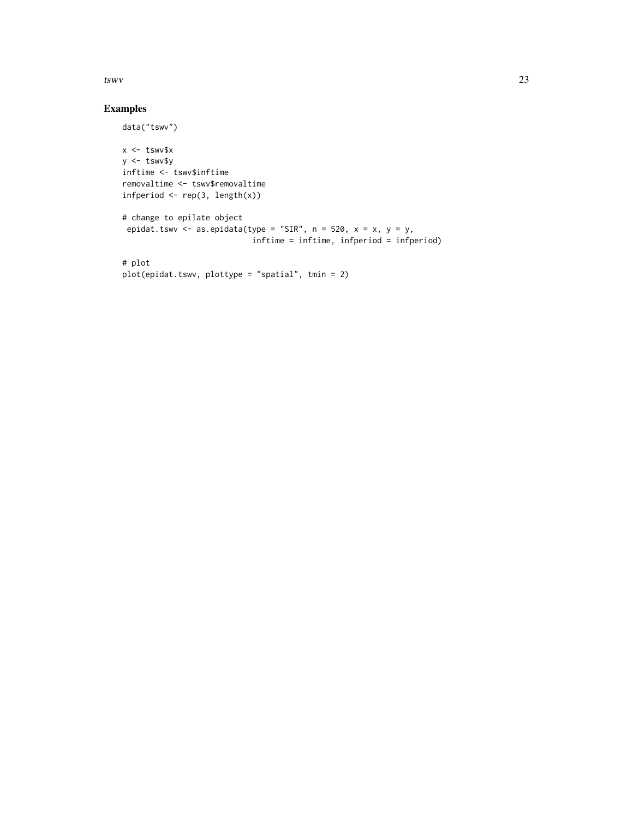$t_{\rm SWV}$  23

# Examples

data("tswv")

```
x < - tswv$x
y <- tswv$y
inftime <- tswv$inftime
removaltime <- tswv$removaltime
infperiod \leq rep(3, length(x))
# change to epilate object
epidat.tswv <- as.epidata(type = "SIR", n = 520, x = x, y = y,
                            inftime = inftime, infperiod = infperiod)
# plot
plot(epidat.tswv, plottype = "spatial", tmin = 2)
```